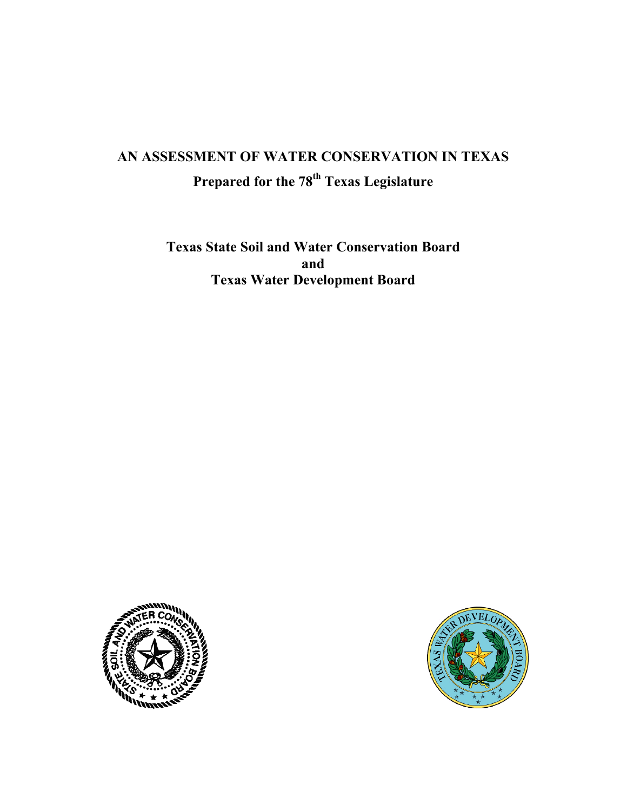# **AN ASSESSMENT OF WATER CONSERVATION IN TEXAS Prepared for the 78th Texas Legislature**

**Texas State Soil and Water Conservation Board and Texas Water Development Board** 



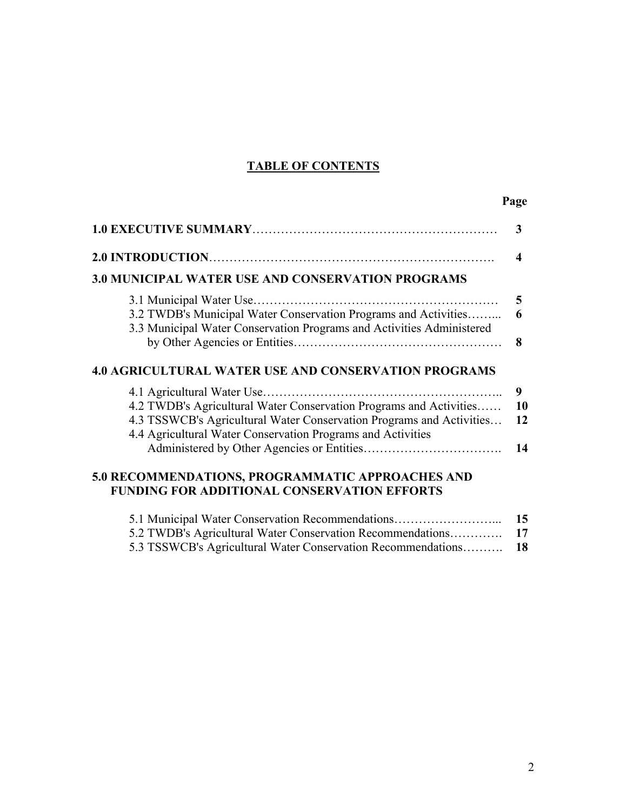# **TABLE OF CONTENTS**

# **Page**

|                                                                                                                                                                                                                                          | 3                      |
|------------------------------------------------------------------------------------------------------------------------------------------------------------------------------------------------------------------------------------------|------------------------|
|                                                                                                                                                                                                                                          | $\boldsymbol{\Lambda}$ |
| <b>3.0 MUNICIPAL WATER USE AND CONSERVATION PROGRAMS</b>                                                                                                                                                                                 |                        |
| 3.1 Municipal Water Use.<br>3.2 TWDB's Municipal Water Conservation Programs and Activities<br>3.3 Municipal Water Conservation Programs and Activities Administered                                                                     | 5<br>6<br>8            |
| <b>4.0 AGRICULTURAL WATER USE AND CONSERVATION PROGRAMS</b>                                                                                                                                                                              |                        |
| 4.1 Agricultural Water Use.<br>4.2 TWDB's Agricultural Water Conservation Programs and Activities<br>4.3 TSSWCB's Agricultural Water Conservation Programs and Activities<br>4.4 Agricultural Water Conservation Programs and Activities | 9<br>10<br>12<br>14    |
| 5.0 RECOMMENDATIONS, PROGRAMMATIC APPROACHES AND<br><b>FUNDING FOR ADDITIONAL CONSERVATION EFFORTS</b>                                                                                                                                   |                        |
| 5.1 Municipal Water Conservation Recommendations                                                                                                                                                                                         | 15                     |

| 5.1 Municipal water Conservation Recommendations             | $\overline{15}$ |
|--------------------------------------------------------------|-----------------|
|                                                              |                 |
| 5.3 TSSWCB's Agricultural Water Conservation Recommendations | -18             |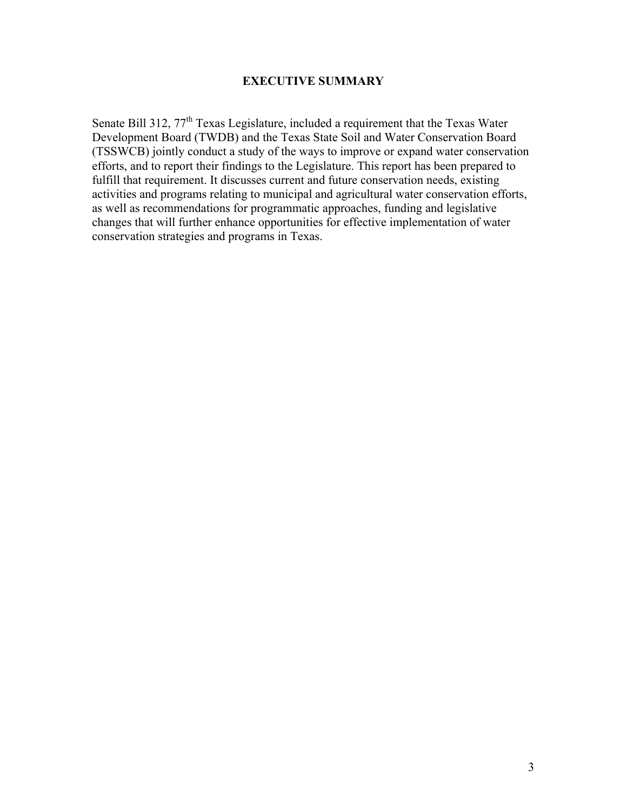#### **EXECUTIVE SUMMARY**

Senate Bill 312, 77<sup>th</sup> Texas Legislature, included a requirement that the Texas Water Development Board (TWDB) and the Texas State Soil and Water Conservation Board (TSSWCB) jointly conduct a study of the ways to improve or expand water conservation efforts, and to report their findings to the Legislature. This report has been prepared to fulfill that requirement. It discusses current and future conservation needs, existing activities and programs relating to municipal and agricultural water conservation efforts, as well as recommendations for programmatic approaches, funding and legislative changes that will further enhance opportunities for effective implementation of water conservation strategies and programs in Texas.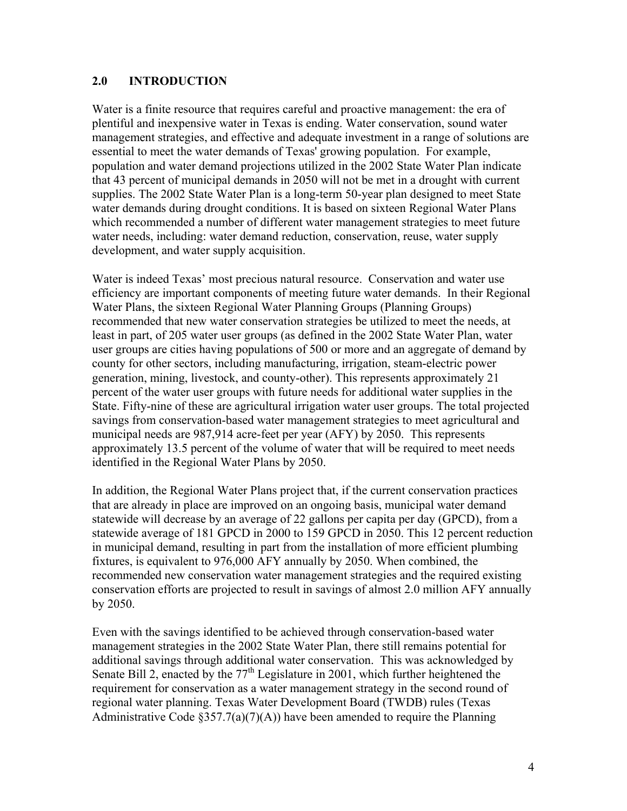#### **2.0 INTRODUCTION**

Water is a finite resource that requires careful and proactive management: the era of plentiful and inexpensive water in Texas is ending. Water conservation, sound water management strategies, and effective and adequate investment in a range of solutions are essential to meet the water demands of Texas' growing population. For example, population and water demand projections utilized in the 2002 State Water Plan indicate that 43 percent of municipal demands in 2050 will not be met in a drought with current supplies. The 2002 State Water Plan is a long-term 50-year plan designed to meet State water demands during drought conditions. It is based on sixteen Regional Water Plans which recommended a number of different water management strategies to meet future water needs, including: water demand reduction, conservation, reuse, water supply development, and water supply acquisition.

Water is indeed Texas' most precious natural resource. Conservation and water use efficiency are important components of meeting future water demands. In their Regional Water Plans, the sixteen Regional Water Planning Groups (Planning Groups) recommended that new water conservation strategies be utilized to meet the needs, at least in part, of 205 water user groups (as defined in the 2002 State Water Plan, water user groups are cities having populations of 500 or more and an aggregate of demand by county for other sectors, including manufacturing, irrigation, steam-electric power generation, mining, livestock, and county-other). This represents approximately 21 percent of the water user groups with future needs for additional water supplies in the State. Fifty-nine of these are agricultural irrigation water user groups. The total projected savings from conservation-based water management strategies to meet agricultural and municipal needs are 987,914 acre-feet per year (AFY) by 2050. This represents approximately 13.5 percent of the volume of water that will be required to meet needs identified in the Regional Water Plans by 2050.

In addition, the Regional Water Plans project that, if the current conservation practices that are already in place are improved on an ongoing basis, municipal water demand statewide will decrease by an average of 22 gallons per capita per day (GPCD), from a statewide average of 181 GPCD in 2000 to 159 GPCD in 2050. This 12 percent reduction in municipal demand, resulting in part from the installation of more efficient plumbing fixtures, is equivalent to 976,000 AFY annually by 2050. When combined, the recommended new conservation water management strategies and the required existing conservation efforts are projected to result in savings of almost 2.0 million AFY annually by 2050.

Even with the savings identified to be achieved through conservation-based water management strategies in the 2002 State Water Plan, there still remains potential for additional savings through additional water conservation. This was acknowledged by Senate Bill 2, enacted by the  $77<sup>th</sup>$  Legislature in 2001, which further heightened the requirement for conservation as a water management strategy in the second round of regional water planning. Texas Water Development Board (TWDB) rules (Texas Administrative Code  $\S 357.7(a)(7)(A)$  have been amended to require the Planning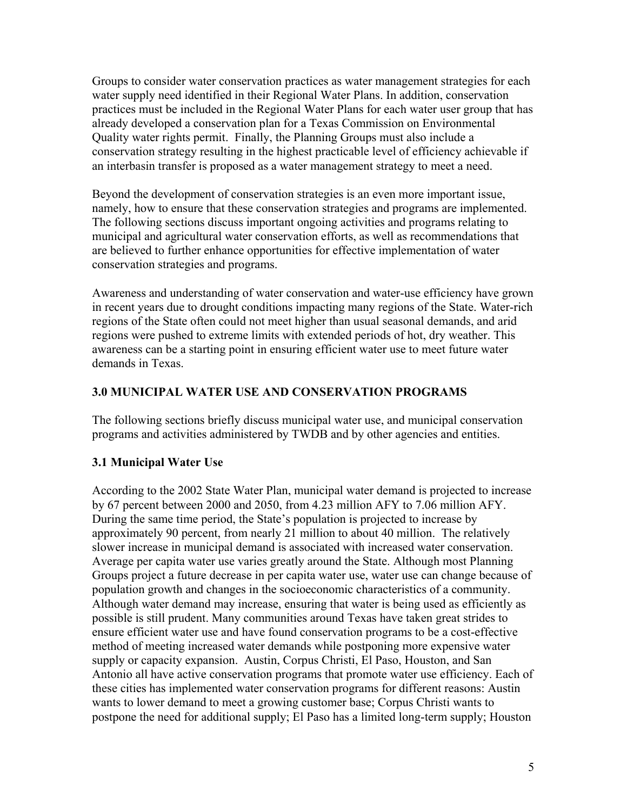Groups to consider water conservation practices as water management strategies for each water supply need identified in their Regional Water Plans. In addition, conservation practices must be included in the Regional Water Plans for each water user group that has already developed a conservation plan for a Texas Commission on Environmental Quality water rights permit. Finally, the Planning Groups must also include a conservation strategy resulting in the highest practicable level of efficiency achievable if an interbasin transfer is proposed as a water management strategy to meet a need.

Beyond the development of conservation strategies is an even more important issue, namely, how to ensure that these conservation strategies and programs are implemented. The following sections discuss important ongoing activities and programs relating to municipal and agricultural water conservation efforts, as well as recommendations that are believed to further enhance opportunities for effective implementation of water conservation strategies and programs.

Awareness and understanding of water conservation and water-use efficiency have grown in recent years due to drought conditions impacting many regions of the State. Water-rich regions of the State often could not meet higher than usual seasonal demands, and arid regions were pushed to extreme limits with extended periods of hot, dry weather. This awareness can be a starting point in ensuring efficient water use to meet future water demands in Texas.

## **3.0 MUNICIPAL WATER USE AND CONSERVATION PROGRAMS**

The following sections briefly discuss municipal water use, and municipal conservation programs and activities administered by TWDB and by other agencies and entities.

# **3.1 Municipal Water Use**

According to the 2002 State Water Plan, municipal water demand is projected to increase by 67 percent between 2000 and 2050, from 4.23 million AFY to 7.06 million AFY. During the same time period, the State's population is projected to increase by approximately 90 percent, from nearly 21 million to about 40 million. The relatively slower increase in municipal demand is associated with increased water conservation. Average per capita water use varies greatly around the State. Although most Planning Groups project a future decrease in per capita water use, water use can change because of population growth and changes in the socioeconomic characteristics of a community. Although water demand may increase, ensuring that water is being used as efficiently as possible is still prudent. Many communities around Texas have taken great strides to ensure efficient water use and have found conservation programs to be a cost-effective method of meeting increased water demands while postponing more expensive water supply or capacity expansion. Austin, Corpus Christi, El Paso, Houston, and San Antonio all have active conservation programs that promote water use efficiency. Each of these cities has implemented water conservation programs for different reasons: Austin wants to lower demand to meet a growing customer base; Corpus Christi wants to postpone the need for additional supply; El Paso has a limited long-term supply; Houston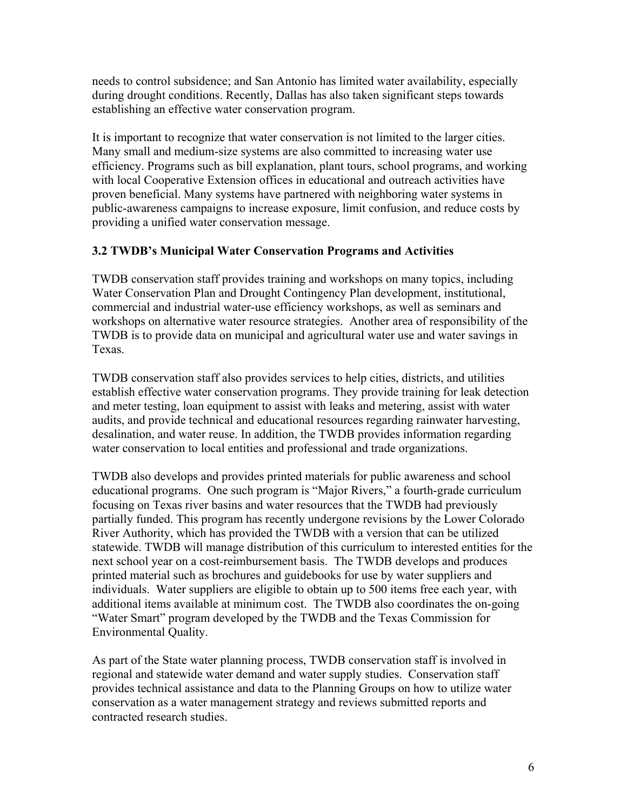needs to control subsidence; and San Antonio has limited water availability, especially during drought conditions. Recently, Dallas has also taken significant steps towards establishing an effective water conservation program.

It is important to recognize that water conservation is not limited to the larger cities. Many small and medium-size systems are also committed to increasing water use efficiency. Programs such as bill explanation, plant tours, school programs, and working with local Cooperative Extension offices in educational and outreach activities have proven beneficial. Many systems have partnered with neighboring water systems in public-awareness campaigns to increase exposure, limit confusion, and reduce costs by providing a unified water conservation message.

#### **3.2 TWDB's Municipal Water Conservation Programs and Activities**

TWDB conservation staff provides training and workshops on many topics, including Water Conservation Plan and Drought Contingency Plan development, institutional, commercial and industrial water-use efficiency workshops, as well as seminars and workshops on alternative water resource strategies. Another area of responsibility of the TWDB is to provide data on municipal and agricultural water use and water savings in Texas.

TWDB conservation staff also provides services to help cities, districts, and utilities establish effective water conservation programs. They provide training for leak detection and meter testing, loan equipment to assist with leaks and metering, assist with water audits, and provide technical and educational resources regarding rainwater harvesting, desalination, and water reuse. In addition, the TWDB provides information regarding water conservation to local entities and professional and trade organizations.

TWDB also develops and provides printed materials for public awareness and school educational programs. One such program is "Major Rivers," a fourth-grade curriculum focusing on Texas river basins and water resources that the TWDB had previously partially funded. This program has recently undergone revisions by the Lower Colorado River Authority, which has provided the TWDB with a version that can be utilized statewide. TWDB will manage distribution of this curriculum to interested entities for the next school year on a cost-reimbursement basis. The TWDB develops and produces printed material such as brochures and guidebooks for use by water suppliers and individuals. Water suppliers are eligible to obtain up to 500 items free each year, with additional items available at minimum cost. The TWDB also coordinates the on-going "Water Smart" program developed by the TWDB and the Texas Commission for Environmental Quality.

As part of the State water planning process, TWDB conservation staff is involved in regional and statewide water demand and water supply studies. Conservation staff provides technical assistance and data to the Planning Groups on how to utilize water conservation as a water management strategy and reviews submitted reports and contracted research studies.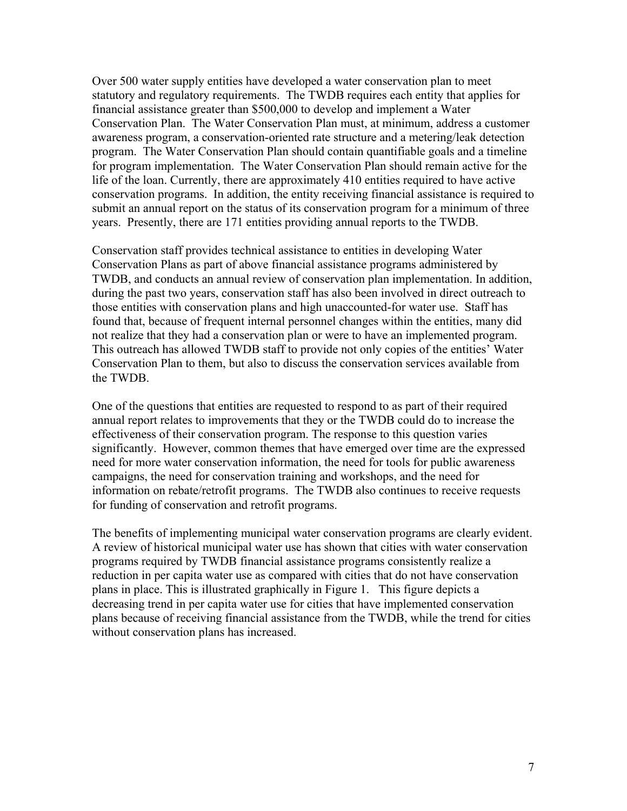Over 500 water supply entities have developed a water conservation plan to meet statutory and regulatory requirements. The TWDB requires each entity that applies for financial assistance greater than \$500,000 to develop and implement a Water Conservation Plan. The Water Conservation Plan must, at minimum, address a customer awareness program, a conservation-oriented rate structure and a metering/leak detection program. The Water Conservation Plan should contain quantifiable goals and a timeline for program implementation. The Water Conservation Plan should remain active for the life of the loan. Currently, there are approximately 410 entities required to have active conservation programs. In addition, the entity receiving financial assistance is required to submit an annual report on the status of its conservation program for a minimum of three years. Presently, there are 171 entities providing annual reports to the TWDB.

Conservation staff provides technical assistance to entities in developing Water Conservation Plans as part of above financial assistance programs administered by TWDB, and conducts an annual review of conservation plan implementation. In addition, during the past two years, conservation staff has also been involved in direct outreach to those entities with conservation plans and high unaccounted-for water use. Staff has found that, because of frequent internal personnel changes within the entities, many did not realize that they had a conservation plan or were to have an implemented program. This outreach has allowed TWDB staff to provide not only copies of the entities' Water Conservation Plan to them, but also to discuss the conservation services available from the TWDB.

One of the questions that entities are requested to respond to as part of their required annual report relates to improvements that they or the TWDB could do to increase the effectiveness of their conservation program. The response to this question varies significantly. However, common themes that have emerged over time are the expressed need for more water conservation information, the need for tools for public awareness campaigns, the need for conservation training and workshops, and the need for information on rebate/retrofit programs. The TWDB also continues to receive requests for funding of conservation and retrofit programs.

The benefits of implementing municipal water conservation programs are clearly evident. A review of historical municipal water use has shown that cities with water conservation programs required by TWDB financial assistance programs consistently realize a reduction in per capita water use as compared with cities that do not have conservation plans in place. This is illustrated graphically in Figure 1. This figure depicts a decreasing trend in per capita water use for cities that have implemented conservation plans because of receiving financial assistance from the TWDB, while the trend for cities without conservation plans has increased.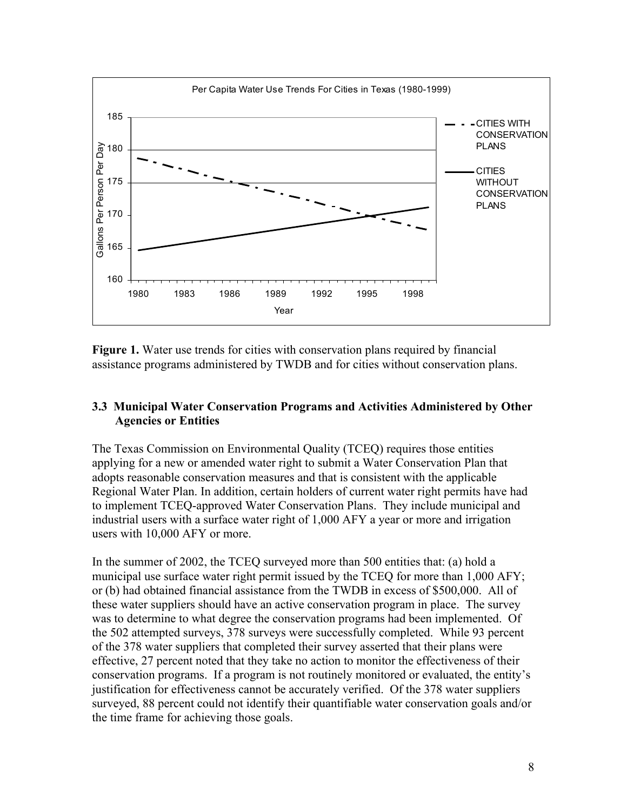

**Figure 1.** Water use trends for cities with conservation plans required by financial assistance programs administered by TWDB and for cities without conservation plans.

#### **3.3 Municipal Water Conservation Programs and Activities Administered by Other Agencies or Entities**

The Texas Commission on Environmental Quality (TCEQ) requires those entities applying for a new or amended water right to submit a Water Conservation Plan that adopts reasonable conservation measures and that is consistent with the applicable Regional Water Plan. In addition, certain holders of current water right permits have had to implement TCEQ-approved Water Conservation Plans. They include municipal and industrial users with a surface water right of 1,000 AFY a year or more and irrigation users with 10,000 AFY or more.

In the summer of 2002, the TCEQ surveyed more than 500 entities that: (a) hold a municipal use surface water right permit issued by the TCEQ for more than 1,000 AFY; or (b) had obtained financial assistance from the TWDB in excess of \$500,000. All of these water suppliers should have an active conservation program in place. The survey was to determine to what degree the conservation programs had been implemented. Of the 502 attempted surveys, 378 surveys were successfully completed. While 93 percent of the 378 water suppliers that completed their survey asserted that their plans were effective, 27 percent noted that they take no action to monitor the effectiveness of their conservation programs. If a program is not routinely monitored or evaluated, the entity's justification for effectiveness cannot be accurately verified. Of the 378 water suppliers surveyed, 88 percent could not identify their quantifiable water conservation goals and/or the time frame for achieving those goals.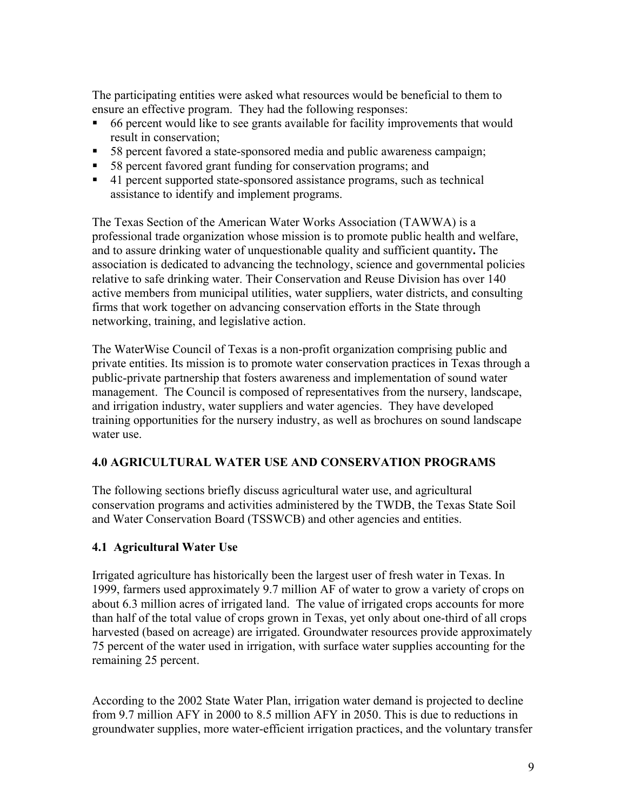The participating entities were asked what resources would be beneficial to them to ensure an effective program. They had the following responses:

- 66 percent would like to see grants available for facility improvements that would result in conservation;
- 58 percent favored a state-sponsored media and public awareness campaign;
- 58 percent favored grant funding for conservation programs; and
- 41 percent supported state-sponsored assistance programs, such as technical assistance to identify and implement programs.

The Texas Section of the American Water Works Association (TAWWA) is a professional trade organization whose mission is to promote public health and welfare, and to assure drinking water of unquestionable quality and sufficient quantity**.** The association is dedicated to advancing the technology, science and governmental policies relative to safe drinking water. Their Conservation and Reuse Division has over 140 active members from municipal utilities, water suppliers, water districts, and consulting firms that work together on advancing conservation efforts in the State through networking, training, and legislative action.

The WaterWise Council of Texas is a non-profit organization comprising public and private entities. Its mission is to promote water conservation practices in Texas through a public-private partnership that fosters awareness and implementation of sound water management. The Council is composed of representatives from the nursery, landscape, and irrigation industry, water suppliers and water agencies. They have developed training opportunities for the nursery industry, as well as brochures on sound landscape water use.

#### **4.0 AGRICULTURAL WATER USE AND CONSERVATION PROGRAMS**

The following sections briefly discuss agricultural water use, and agricultural conservation programs and activities administered by the TWDB, the Texas State Soil and Water Conservation Board (TSSWCB) and other agencies and entities.

#### **4.1 Agricultural Water Use**

Irrigated agriculture has historically been the largest user of fresh water in Texas. In 1999, farmers used approximately 9.7 million AF of water to grow a variety of crops on about 6.3 million acres of irrigated land. The value of irrigated crops accounts for more than half of the total value of crops grown in Texas, yet only about one-third of all crops harvested (based on acreage) are irrigated. Groundwater resources provide approximately 75 percent of the water used in irrigation, with surface water supplies accounting for the remaining 25 percent.

According to the 2002 State Water Plan, irrigation water demand is projected to decline from 9.7 million AFY in 2000 to 8.5 million AFY in 2050. This is due to reductions in groundwater supplies, more water-efficient irrigation practices, and the voluntary transfer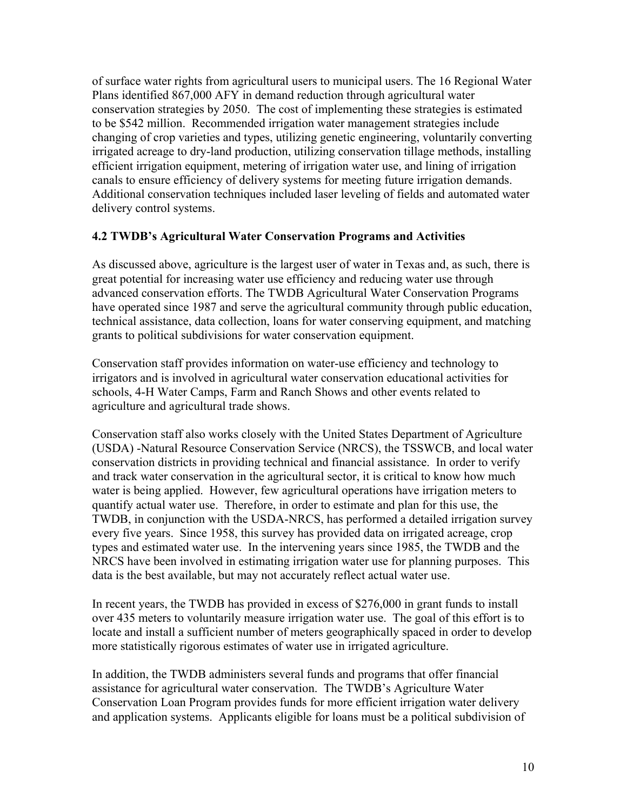of surface water rights from agricultural users to municipal users. The 16 Regional Water Plans identified 867,000 AFY in demand reduction through agricultural water conservation strategies by 2050. The cost of implementing these strategies is estimated to be \$542 million. Recommended irrigation water management strategies include changing of crop varieties and types, utilizing genetic engineering, voluntarily converting irrigated acreage to dry-land production, utilizing conservation tillage methods, installing efficient irrigation equipment, metering of irrigation water use, and lining of irrigation canals to ensure efficiency of delivery systems for meeting future irrigation demands. Additional conservation techniques included laser leveling of fields and automated water delivery control systems.

#### **4.2 TWDB's Agricultural Water Conservation Programs and Activities**

As discussed above, agriculture is the largest user of water in Texas and, as such, there is great potential for increasing water use efficiency and reducing water use through advanced conservation efforts. The TWDB Agricultural Water Conservation Programs have operated since 1987 and serve the agricultural community through public education, technical assistance, data collection, loans for water conserving equipment, and matching grants to political subdivisions for water conservation equipment.

Conservation staff provides information on water-use efficiency and technology to irrigators and is involved in agricultural water conservation educational activities for schools, 4-H Water Camps, Farm and Ranch Shows and other events related to agriculture and agricultural trade shows.

Conservation staff also works closely with the United States Department of Agriculture (USDA) -Natural Resource Conservation Service (NRCS), the TSSWCB, and local water conservation districts in providing technical and financial assistance. In order to verify and track water conservation in the agricultural sector, it is critical to know how much water is being applied. However, few agricultural operations have irrigation meters to quantify actual water use. Therefore, in order to estimate and plan for this use, the TWDB, in conjunction with the USDA-NRCS, has performed a detailed irrigation survey every five years. Since 1958, this survey has provided data on irrigated acreage, crop types and estimated water use. In the intervening years since 1985, the TWDB and the NRCS have been involved in estimating irrigation water use for planning purposes. This data is the best available, but may not accurately reflect actual water use.

In recent years, the TWDB has provided in excess of \$276,000 in grant funds to install over 435 meters to voluntarily measure irrigation water use. The goal of this effort is to locate and install a sufficient number of meters geographically spaced in order to develop more statistically rigorous estimates of water use in irrigated agriculture.

In addition, the TWDB administers several funds and programs that offer financial assistance for agricultural water conservation. The TWDB's Agriculture Water Conservation Loan Program provides funds for more efficient irrigation water delivery and application systems. Applicants eligible for loans must be a political subdivision of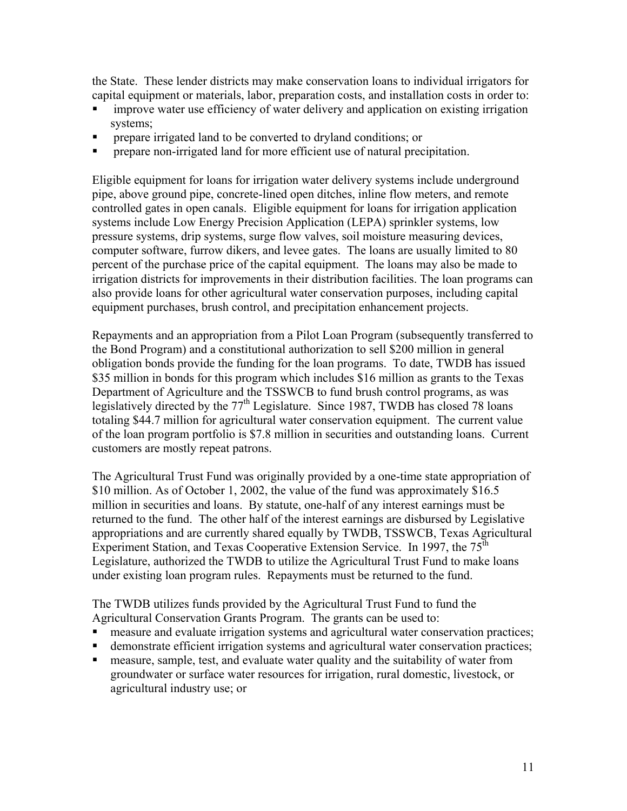the State. These lender districts may make conservation loans to individual irrigators for capital equipment or materials, labor, preparation costs, and installation costs in order to:

- improve water use efficiency of water delivery and application on existing irrigation systems;
- prepare irrigated land to be converted to dryland conditions; or
- prepare non-irrigated land for more efficient use of natural precipitation.

Eligible equipment for loans for irrigation water delivery systems include underground pipe, above ground pipe, concrete-lined open ditches, inline flow meters, and remote controlled gates in open canals. Eligible equipment for loans for irrigation application systems include Low Energy Precision Application (LEPA) sprinkler systems, low pressure systems, drip systems, surge flow valves, soil moisture measuring devices, computer software, furrow dikers, and levee gates. The loans are usually limited to 80 percent of the purchase price of the capital equipment. The loans may also be made to irrigation districts for improvements in their distribution facilities. The loan programs can also provide loans for other agricultural water conservation purposes, including capital equipment purchases, brush control, and precipitation enhancement projects.

Repayments and an appropriation from a Pilot Loan Program (subsequently transferred to the Bond Program) and a constitutional authorization to sell \$200 million in general obligation bonds provide the funding for the loan programs. To date, TWDB has issued \$35 million in bonds for this program which includes \$16 million as grants to the Texas Department of Agriculture and the TSSWCB to fund brush control programs, as was legislatively directed by the  $77<sup>th</sup>$  Legislature. Since 1987, TWDB has closed 78 loans totaling \$44.7 million for agricultural water conservation equipment. The current value of the loan program portfolio is \$7.8 million in securities and outstanding loans. Current customers are mostly repeat patrons.

The Agricultural Trust Fund was originally provided by a one-time state appropriation of \$10 million. As of October 1, 2002, the value of the fund was approximately \$16.5 million in securities and loans. By statute, one-half of any interest earnings must be returned to the fund. The other half of the interest earnings are disbursed by Legislative appropriations and are currently shared equally by TWDB, TSSWCB, Texas Agricultural Experiment Station, and Texas Cooperative Extension Service. In 1997, the  $75^{\text{th}}$ Legislature, authorized the TWDB to utilize the Agricultural Trust Fund to make loans under existing loan program rules. Repayments must be returned to the fund.

The TWDB utilizes funds provided by the Agricultural Trust Fund to fund the Agricultural Conservation Grants Program. The grants can be used to:

- measure and evaluate irrigation systems and agricultural water conservation practices;
- demonstrate efficient irrigation systems and agricultural water conservation practices;
- measure, sample, test, and evaluate water quality and the suitability of water from groundwater or surface water resources for irrigation, rural domestic, livestock, or agricultural industry use; or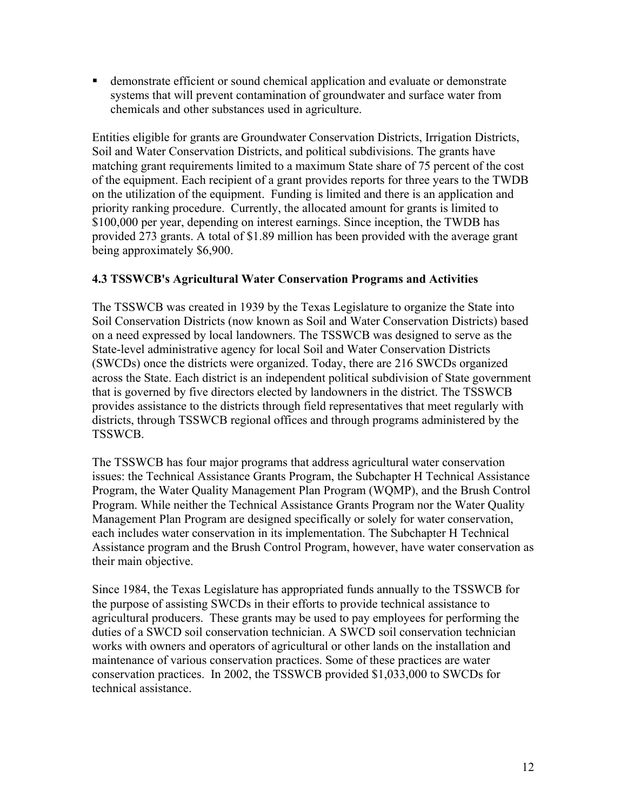demonstrate efficient or sound chemical application and evaluate or demonstrate systems that will prevent contamination of groundwater and surface water from chemicals and other substances used in agriculture.

Entities eligible for grants are Groundwater Conservation Districts, Irrigation Districts, Soil and Water Conservation Districts, and political subdivisions. The grants have matching grant requirements limited to a maximum State share of 75 percent of the cost of the equipment. Each recipient of a grant provides reports for three years to the TWDB on the utilization of the equipment. Funding is limited and there is an application and priority ranking procedure. Currently, the allocated amount for grants is limited to \$100,000 per year, depending on interest earnings. Since inception, the TWDB has provided 273 grants. A total of \$1.89 million has been provided with the average grant being approximately \$6,900.

#### **4.3 TSSWCB's Agricultural Water Conservation Programs and Activities**

The TSSWCB was created in 1939 by the Texas Legislature to organize the State into Soil Conservation Districts (now known as Soil and Water Conservation Districts) based on a need expressed by local landowners. The TSSWCB was designed to serve as the State-level administrative agency for local Soil and Water Conservation Districts (SWCDs) once the districts were organized. Today, there are 216 SWCDs organized across the State. Each district is an independent political subdivision of State government that is governed by five directors elected by landowners in the district. The TSSWCB provides assistance to the districts through field representatives that meet regularly with districts, through TSSWCB regional offices and through programs administered by the TSSWCB.

The TSSWCB has four major programs that address agricultural water conservation issues: the Technical Assistance Grants Program, the Subchapter H Technical Assistance Program, the Water Quality Management Plan Program (WQMP), and the Brush Control Program. While neither the Technical Assistance Grants Program nor the Water Quality Management Plan Program are designed specifically or solely for water conservation, each includes water conservation in its implementation. The Subchapter H Technical Assistance program and the Brush Control Program, however, have water conservation as their main objective.

Since 1984, the Texas Legislature has appropriated funds annually to the TSSWCB for the purpose of assisting SWCDs in their efforts to provide technical assistance to agricultural producers. These grants may be used to pay employees for performing the duties of a SWCD soil conservation technician. A SWCD soil conservation technician works with owners and operators of agricultural or other lands on the installation and maintenance of various conservation practices. Some of these practices are water conservation practices. In 2002, the TSSWCB provided \$1,033,000 to SWCDs for technical assistance.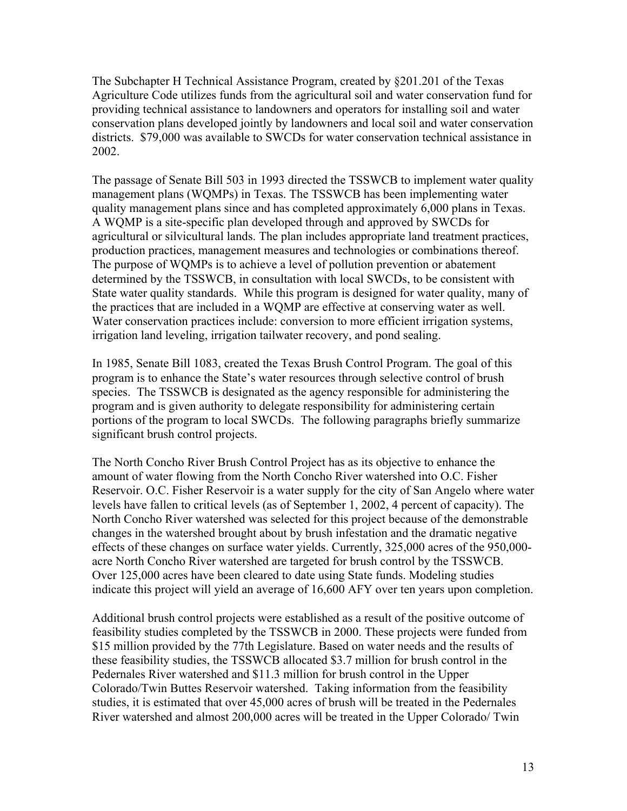The Subchapter H Technical Assistance Program, created by §201.201 of the Texas Agriculture Code utilizes funds from the agricultural soil and water conservation fund for providing technical assistance to landowners and operators for installing soil and water conservation plans developed jointly by landowners and local soil and water conservation districts. \$79,000 was available to SWCDs for water conservation technical assistance in 2002.

The passage of Senate Bill 503 in 1993 directed the TSSWCB to implement water quality management plans (WQMPs) in Texas. The TSSWCB has been implementing water quality management plans since and has completed approximately 6,000 plans in Texas. A WQMP is a site-specific plan developed through and approved by SWCDs for agricultural or silvicultural lands. The plan includes appropriate land treatment practices, production practices, management measures and technologies or combinations thereof. The purpose of WQMPs is to achieve a level of pollution prevention or abatement determined by the TSSWCB, in consultation with local SWCDs, to be consistent with State water quality standards. While this program is designed for water quality, many of the practices that are included in a WQMP are effective at conserving water as well. Water conservation practices include: conversion to more efficient irrigation systems, irrigation land leveling, irrigation tailwater recovery, and pond sealing.

In 1985, Senate Bill 1083, created the Texas Brush Control Program. The goal of this program is to enhance the State's water resources through selective control of brush species. The TSSWCB is designated as the agency responsible for administering the program and is given authority to delegate responsibility for administering certain portions of the program to local SWCDs. The following paragraphs briefly summarize significant brush control projects.

The North Concho River Brush Control Project has as its objective to enhance the amount of water flowing from the North Concho River watershed into O.C. Fisher Reservoir. O.C. Fisher Reservoir is a water supply for the city of San Angelo where water levels have fallen to critical levels (as of September 1, 2002, 4 percent of capacity). The North Concho River watershed was selected for this project because of the demonstrable changes in the watershed brought about by brush infestation and the dramatic negative effects of these changes on surface water yields. Currently, 325,000 acres of the 950,000 acre North Concho River watershed are targeted for brush control by the TSSWCB. Over 125,000 acres have been cleared to date using State funds. Modeling studies indicate this project will yield an average of 16,600 AFY over ten years upon completion.

Additional brush control projects were established as a result of the positive outcome of feasibility studies completed by the TSSWCB in 2000. These projects were funded from \$15 million provided by the 77th Legislature. Based on water needs and the results of these feasibility studies, the TSSWCB allocated \$3.7 million for brush control in the Pedernales River watershed and \$11.3 million for brush control in the Upper Colorado/Twin Buttes Reservoir watershed. Taking information from the feasibility studies, it is estimated that over 45,000 acres of brush will be treated in the Pedernales River watershed and almost 200,000 acres will be treated in the Upper Colorado/ Twin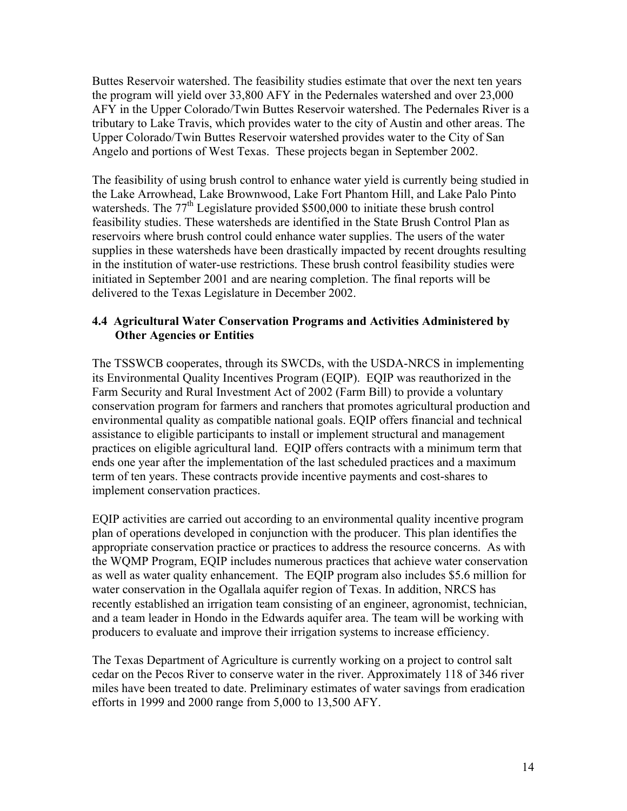Buttes Reservoir watershed. The feasibility studies estimate that over the next ten years the program will yield over 33,800 AFY in the Pedernales watershed and over 23,000 AFY in the Upper Colorado/Twin Buttes Reservoir watershed. The Pedernales River is a tributary to Lake Travis, which provides water to the city of Austin and other areas. The Upper Colorado/Twin Buttes Reservoir watershed provides water to the City of San Angelo and portions of West Texas. These projects began in September 2002.

The feasibility of using brush control to enhance water yield is currently being studied in the Lake Arrowhead, Lake Brownwood, Lake Fort Phantom Hill, and Lake Palo Pinto watersheds. The 77<sup>th</sup> Legislature provided \$500,000 to initiate these brush control feasibility studies. These watersheds are identified in the State Brush Control Plan as reservoirs where brush control could enhance water supplies. The users of the water supplies in these watersheds have been drastically impacted by recent droughts resulting in the institution of water-use restrictions. These brush control feasibility studies were initiated in September 2001 and are nearing completion. The final reports will be delivered to the Texas Legislature in December 2002.

#### **4.4 Agricultural Water Conservation Programs and Activities Administered by Other Agencies or Entities**

The TSSWCB cooperates, through its SWCDs, with the USDA-NRCS in implementing its Environmental Quality Incentives Program (EQIP). EQIP was reauthorized in the Farm Security and Rural Investment Act of 2002 (Farm Bill) to provide a voluntary conservation program for farmers and ranchers that promotes agricultural production and environmental quality as compatible national goals. EQIP offers financial and technical assistance to eligible participants to install or implement structural and management practices on eligible agricultural land. EQIP offers contracts with a minimum term that ends one year after the implementation of the last scheduled practices and a maximum term of ten years. These contracts provide incentive payments and cost-shares to implement conservation practices.

EQIP activities are carried out according to an environmental quality incentive program plan of operations developed in conjunction with the producer. This plan identifies the appropriate conservation practice or practices to address the resource concerns. As with the WQMP Program, EQIP includes numerous practices that achieve water conservation as well as water quality enhancement. The EQIP program also includes \$5.6 million for water conservation in the Ogallala aquifer region of Texas. In addition, NRCS has recently established an irrigation team consisting of an engineer, agronomist, technician, and a team leader in Hondo in the Edwards aquifer area. The team will be working with producers to evaluate and improve their irrigation systems to increase efficiency.

The Texas Department of Agriculture is currently working on a project to control salt cedar on the Pecos River to conserve water in the river. Approximately 118 of 346 river miles have been treated to date. Preliminary estimates of water savings from eradication efforts in 1999 and 2000 range from 5,000 to 13,500 AFY.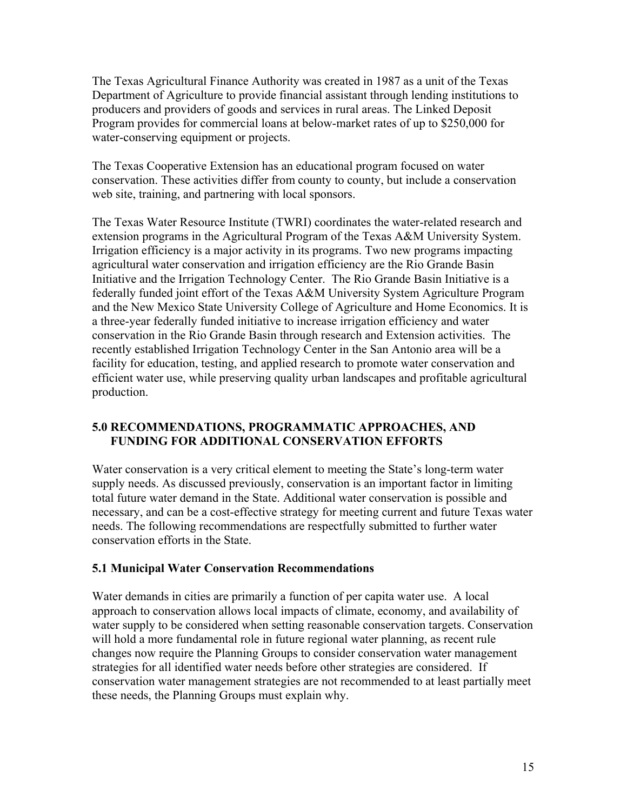The Texas Agricultural Finance Authority was created in 1987 as a unit of the Texas Department of Agriculture to provide financial assistant through lending institutions to producers and providers of goods and services in rural areas. The Linked Deposit Program provides for commercial loans at below-market rates of up to \$250,000 for water-conserving equipment or projects.

The Texas Cooperative Extension has an educational program focused on water conservation. These activities differ from county to county, but include a conservation web site, training, and partnering with local sponsors.

The Texas Water Resource Institute (TWRI) coordinates the water-related research and extension programs in the Agricultural Program of the Texas A&M University System. Irrigation efficiency is a major activity in its programs. Two new programs impacting agricultural water conservation and irrigation efficiency are the Rio Grande Basin Initiative and the Irrigation Technology Center. The Rio Grande Basin Initiative is a federally funded joint effort of the Texas A&M University System Agriculture Program and the New Mexico State University College of Agriculture and Home Economics. It is a three-year federally funded initiative to increase irrigation efficiency and water conservation in the Rio Grande Basin through research and Extension activities. The recently established Irrigation Technology Center in the San Antonio area will be a facility for education, testing, and applied research to promote water conservation and efficient water use, while preserving quality urban landscapes and profitable agricultural production.

#### **5.0 RECOMMENDATIONS, PROGRAMMATIC APPROACHES, AND FUNDING FOR ADDITIONAL CONSERVATION EFFORTS**

Water conservation is a very critical element to meeting the State's long-term water supply needs. As discussed previously, conservation is an important factor in limiting total future water demand in the State. Additional water conservation is possible and necessary, and can be a cost-effective strategy for meeting current and future Texas water needs. The following recommendations are respectfully submitted to further water conservation efforts in the State.

#### **5.1 Municipal Water Conservation Recommendations**

Water demands in cities are primarily a function of per capita water use. A local approach to conservation allows local impacts of climate, economy, and availability of water supply to be considered when setting reasonable conservation targets. Conservation will hold a more fundamental role in future regional water planning, as recent rule changes now require the Planning Groups to consider conservation water management strategies for all identified water needs before other strategies are considered. If conservation water management strategies are not recommended to at least partially meet these needs, the Planning Groups must explain why.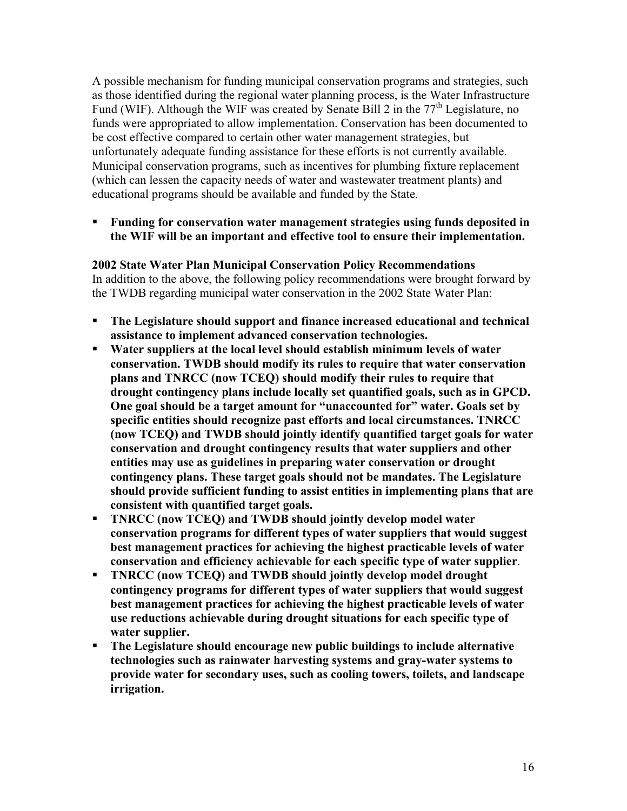A possible mechanism for funding municipal conservation programs and strategies, such as those identified during the regional water planning process, is the Water Infrastructure Fund (WIF). Although the WIF was created by Senate Bill 2 in the  $77<sup>th</sup>$  Legislature, no funds were appropriated to allow implementation. Conservation has been documented to be cost effective compared to certain other water management strategies, but unfortunately adequate funding assistance for these efforts is not currently available. Municipal conservation programs, such as incentives for plumbing fixture replacement (which can lessen the capacity needs of water and wastewater treatment plants) and educational programs should be available and funded by the State.

 **Funding for conservation water management strategies using funds deposited in the WIF will be an important and effective tool to ensure their implementation.** 

#### **2002 State Water Plan Municipal Conservation Policy Recommendations**

In addition to the above, the following policy recommendations were brought forward by the TWDB regarding municipal water conservation in the 2002 State Water Plan:

- **The Legislature should support and finance increased educational and technical assistance to implement advanced conservation technologies.**
- **Water suppliers at the local level should establish minimum levels of water conservation. TWDB should modify its rules to require that water conservation plans and TNRCC (now TCEQ) should modify their rules to require that drought contingency plans include locally set quantified goals, such as in GPCD. One goal should be a target amount for "unaccounted for" water. Goals set by specific entities should recognize past efforts and local circumstances. TNRCC (now TCEQ) and TWDB should jointly identify quantified target goals for water conservation and drought contingency results that water suppliers and other entities may use as guidelines in preparing water conservation or drought contingency plans. These target goals should not be mandates. The Legislature should provide sufficient funding to assist entities in implementing plans that are consistent with quantified target goals.**
- **TNRCC (now TCEQ) and TWDB should jointly develop model water conservation programs for different types of water suppliers that would suggest best management practices for achieving the highest practicable levels of water conservation and efficiency achievable for each specific type of water supplier**.
- **TNRCC (now TCEQ) and TWDB should jointly develop model drought contingency programs for different types of water suppliers that would suggest best management practices for achieving the highest practicable levels of water use reductions achievable during drought situations for each specific type of water supplier.**
- **The Legislature should encourage new public buildings to include alternative technologies such as rainwater harvesting systems and gray-water systems to provide water for secondary uses, such as cooling towers, toilets, and landscape irrigation.**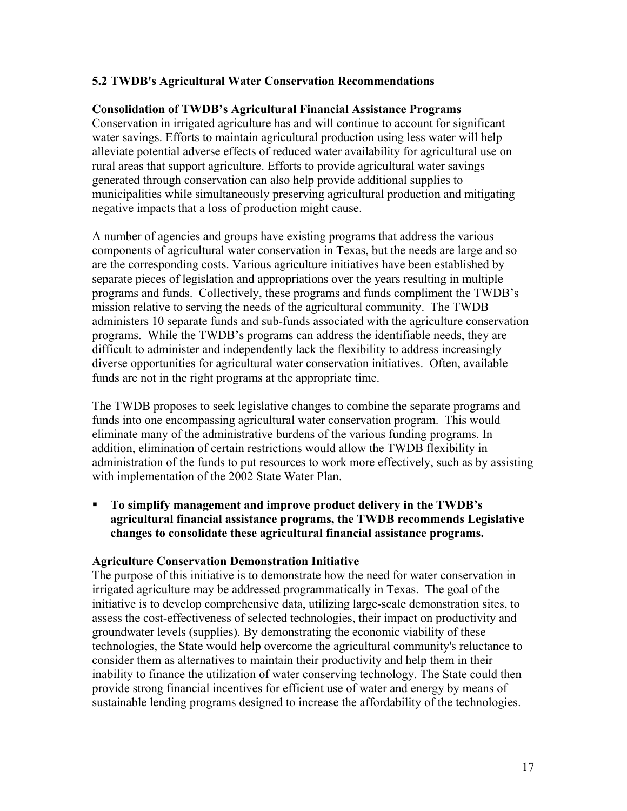#### **5.2 TWDB's Agricultural Water Conservation Recommendations**

#### **Consolidation of TWDB's Agricultural Financial Assistance Programs**

Conservation in irrigated agriculture has and will continue to account for significant water savings. Efforts to maintain agricultural production using less water will help alleviate potential adverse effects of reduced water availability for agricultural use on rural areas that support agriculture. Efforts to provide agricultural water savings generated through conservation can also help provide additional supplies to municipalities while simultaneously preserving agricultural production and mitigating negative impacts that a loss of production might cause.

A number of agencies and groups have existing programs that address the various components of agricultural water conservation in Texas, but the needs are large and so are the corresponding costs. Various agriculture initiatives have been established by separate pieces of legislation and appropriations over the years resulting in multiple programs and funds. Collectively, these programs and funds compliment the TWDB's mission relative to serving the needs of the agricultural community. The TWDB administers 10 separate funds and sub-funds associated with the agriculture conservation programs. While the TWDB's programs can address the identifiable needs, they are difficult to administer and independently lack the flexibility to address increasingly diverse opportunities for agricultural water conservation initiatives. Often, available funds are not in the right programs at the appropriate time.

The TWDB proposes to seek legislative changes to combine the separate programs and funds into one encompassing agricultural water conservation program. This would eliminate many of the administrative burdens of the various funding programs. In addition, elimination of certain restrictions would allow the TWDB flexibility in administration of the funds to put resources to work more effectively, such as by assisting with implementation of the 2002 State Water Plan.

 **To simplify management and improve product delivery in the TWDB's agricultural financial assistance programs, the TWDB recommends Legislative changes to consolidate these agricultural financial assistance programs.** 

#### **Agriculture Conservation Demonstration Initiative**

The purpose of this initiative is to demonstrate how the need for water conservation in irrigated agriculture may be addressed programmatically in Texas. The goal of the initiative is to develop comprehensive data, utilizing large-scale demonstration sites, to assess the cost-effectiveness of selected technologies, their impact on productivity and groundwater levels (supplies). By demonstrating the economic viability of these technologies, the State would help overcome the agricultural community's reluctance to consider them as alternatives to maintain their productivity and help them in their inability to finance the utilization of water conserving technology. The State could then provide strong financial incentives for efficient use of water and energy by means of sustainable lending programs designed to increase the affordability of the technologies.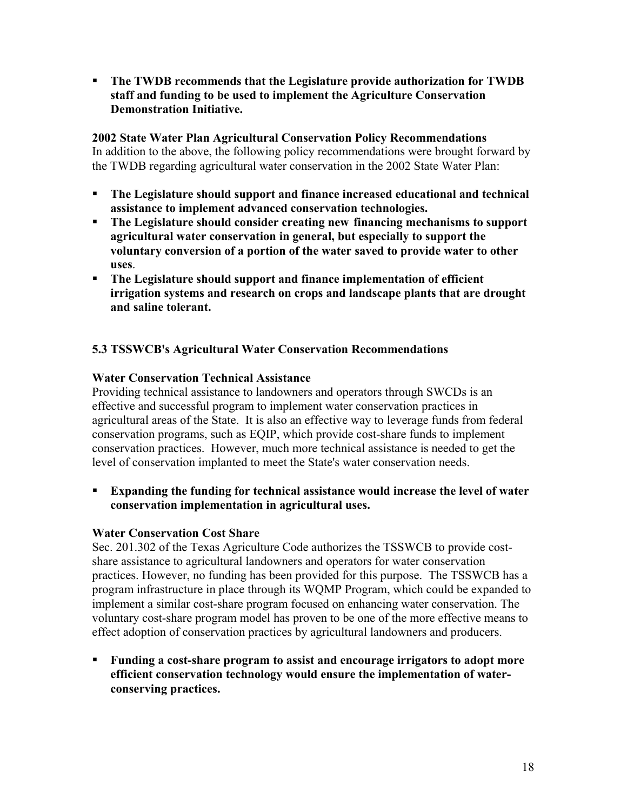**The TWDB recommends that the Legislature provide authorization for TWDB staff and funding to be used to implement the Agriculture Conservation Demonstration Initiative.** 

#### **2002 State Water Plan Agricultural Conservation Policy Recommendations**

In addition to the above, the following policy recommendations were brought forward by the TWDB regarding agricultural water conservation in the 2002 State Water Plan:

- **The Legislature should support and finance increased educational and technical assistance to implement advanced conservation technologies.**
- **The Legislature should consider creating new financing mechanisms to support agricultural water conservation in general, but especially to support the voluntary conversion of a portion of the water saved to provide water to other uses**.
- **The Legislature should support and finance implementation of efficient irrigation systems and research on crops and landscape plants that are drought and saline tolerant.**

# **5.3 TSSWCB's Agricultural Water Conservation Recommendations**

## **Water Conservation Technical Assistance**

Providing technical assistance to landowners and operators through SWCDs is an effective and successful program to implement water conservation practices in agricultural areas of the State. It is also an effective way to leverage funds from federal conservation programs, such as EQIP, which provide cost-share funds to implement conservation practices. However, much more technical assistance is needed to get the level of conservation implanted to meet the State's water conservation needs.

 **Expanding the funding for technical assistance would increase the level of water conservation implementation in agricultural uses.** 

# **Water Conservation Cost Share**

Sec. 201.302 of the Texas Agriculture Code authorizes the TSSWCB to provide costshare assistance to agricultural landowners and operators for water conservation practices. However, no funding has been provided for this purpose. The TSSWCB has a program infrastructure in place through its WQMP Program, which could be expanded to implement a similar cost-share program focused on enhancing water conservation. The voluntary cost-share program model has proven to be one of the more effective means to effect adoption of conservation practices by agricultural landowners and producers.

 **Funding a cost-share program to assist and encourage irrigators to adopt more efficient conservation technology would ensure the implementation of waterconserving practices.**